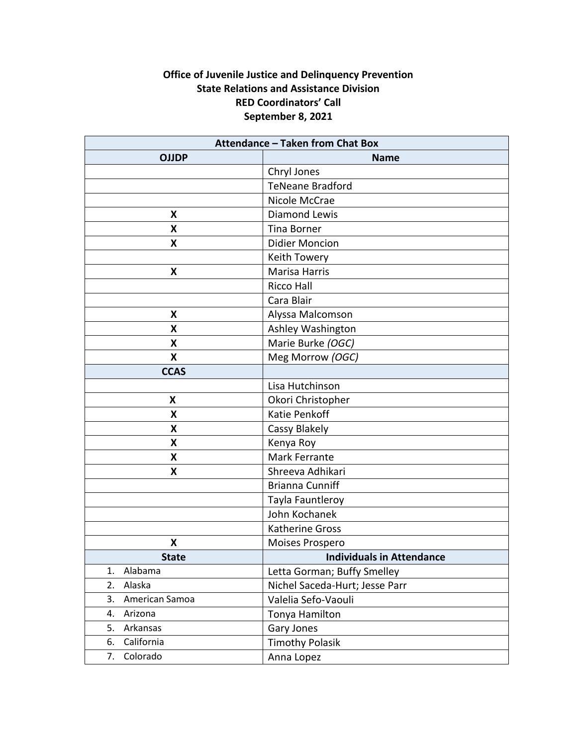# **Office of Juvenile Justice and Delinquency Prevention State Relations and Assistance Division RED Coordinators' Call September 8, 2021**

| <b>Attendance - Taken from Chat Box</b> |                                  |
|-----------------------------------------|----------------------------------|
| <b>OJJDP</b>                            | <b>Name</b>                      |
|                                         | Chryl Jones                      |
|                                         | <b>TeNeane Bradford</b>          |
|                                         | Nicole McCrae                    |
| X                                       | Diamond Lewis                    |
| X                                       | <b>Tina Borner</b>               |
| X                                       | <b>Didier Moncion</b>            |
|                                         | Keith Towery                     |
| X                                       | <b>Marisa Harris</b>             |
|                                         | <b>Ricco Hall</b>                |
|                                         | Cara Blair                       |
| X                                       | Alyssa Malcomson                 |
| X                                       | Ashley Washington                |
| X                                       | Marie Burke (OGC)                |
| Χ                                       | Meg Morrow (OGC)                 |
| <b>CCAS</b>                             |                                  |
|                                         | Lisa Hutchinson                  |
| X                                       | Okori Christopher                |
| X                                       | Katie Penkoff                    |
| X                                       | Cassy Blakely                    |
| X                                       | Kenya Roy                        |
| X                                       | Mark Ferrante                    |
| X                                       | Shreeva Adhikari                 |
|                                         | <b>Brianna Cunniff</b>           |
|                                         | Tayla Fauntleroy                 |
|                                         | John Kochanek                    |
|                                         | Katherine Gross                  |
| X                                       | Moises Prospero                  |
| <b>State</b>                            | <b>Individuals in Attendance</b> |
| Alabama<br>1.                           | Letta Gorman; Buffy Smelley      |
| 2.<br>Alaska                            | Nichel Saceda-Hurt; Jesse Parr   |
| American Samoa<br>3.                    | Valelia Sefo-Vaouli              |
| 4.<br>Arizona                           | Tonya Hamilton                   |
| 5.<br>Arkansas                          | <b>Gary Jones</b>                |
| California<br>6.                        | <b>Timothy Polasik</b>           |
| Colorado<br>7.                          | Anna Lopez                       |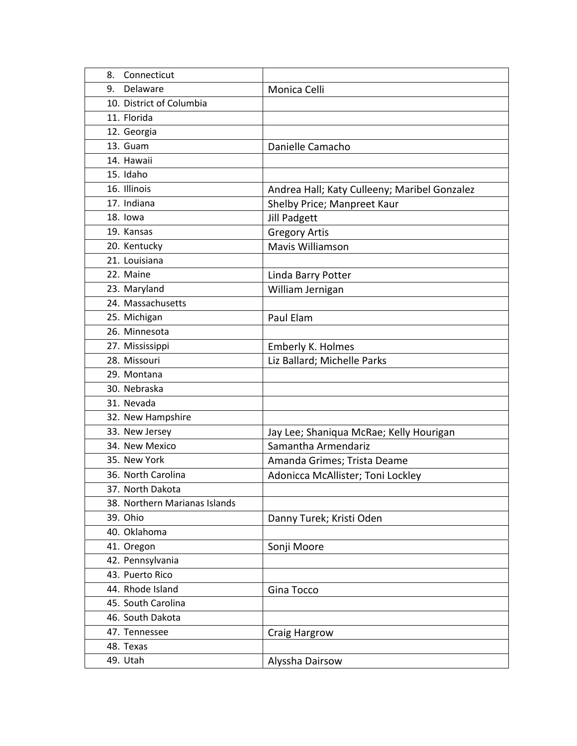| Connecticut<br>8.             |                                              |
|-------------------------------|----------------------------------------------|
| Delaware<br>9.                | Monica Celli                                 |
| 10. District of Columbia      |                                              |
| 11. Florida                   |                                              |
| 12. Georgia                   |                                              |
| 13. Guam                      | Danielle Camacho                             |
| 14. Hawaii                    |                                              |
| 15. Idaho                     |                                              |
| 16. Illinois                  | Andrea Hall; Katy Culleeny; Maribel Gonzalez |
| 17. Indiana                   | Shelby Price; Manpreet Kaur                  |
| 18. lowa                      | <b>Jill Padgett</b>                          |
| 19. Kansas                    | <b>Gregory Artis</b>                         |
| 20. Kentucky                  | Mavis Williamson                             |
| 21. Louisiana                 |                                              |
| 22. Maine                     | Linda Barry Potter                           |
| 23. Maryland                  | William Jernigan                             |
| 24. Massachusetts             |                                              |
| 25. Michigan                  | Paul Elam                                    |
| 26. Minnesota                 |                                              |
| 27. Mississippi               | Emberly K. Holmes                            |
| 28. Missouri                  | Liz Ballard; Michelle Parks                  |
| 29. Montana                   |                                              |
| 30. Nebraska                  |                                              |
| 31. Nevada                    |                                              |
| 32. New Hampshire             |                                              |
| 33. New Jersey                | Jay Lee; Shaniqua McRae; Kelly Hourigan      |
| 34. New Mexico                | Samantha Armendariz                          |
| 35. New York                  | Amanda Grimes; Trista Deame                  |
| 36. North Carolina            | Adonicca McAllister; Toni Lockley            |
| 37. North Dakota              |                                              |
| 38. Northern Marianas Islands |                                              |
| 39. Ohio                      | Danny Turek; Kristi Oden                     |
| 40. Oklahoma                  |                                              |
| 41. Oregon                    | Sonji Moore                                  |
| 42. Pennsylvania              |                                              |
| 43. Puerto Rico               |                                              |
| 44. Rhode Island              | Gina Tocco                                   |
| 45. South Carolina            |                                              |
| 46. South Dakota              |                                              |
| 47. Tennessee                 | Craig Hargrow                                |
| 48. Texas                     |                                              |
| 49. Utah                      | Alyssha Dairsow                              |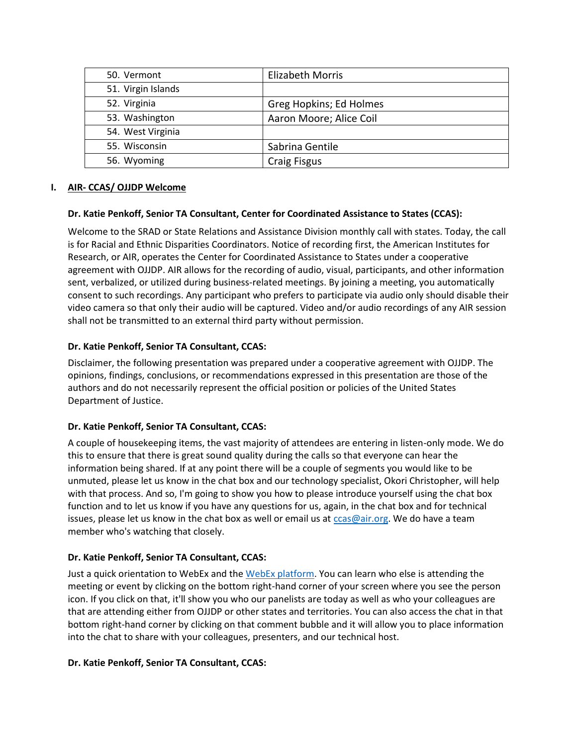| 50. Vermont        | <b>Elizabeth Morris</b> |
|--------------------|-------------------------|
| 51. Virgin Islands |                         |
| 52. Virginia       | Greg Hopkins; Ed Holmes |
| 53. Washington     | Aaron Moore; Alice Coil |
| 54. West Virginia  |                         |
| 55. Wisconsin      | Sabrina Gentile         |
| 56. Wyoming        | <b>Craig Fisgus</b>     |

### **I. AIR- CCAS/ OJJDP Welcome**

### **Dr. Katie Penkoff, Senior TA Consultant, Center for Coordinated Assistance to States (CCAS):**

Welcome to the SRAD or State Relations and Assistance Division monthly call with states. Today, the call is for Racial and Ethnic Disparities Coordinators. Notice of recording first, the American Institutes for Research, or AIR, operates the Center for Coordinated Assistance to States under a cooperative agreement with OJJDP. AIR allows for the recording of audio, visual, participants, and other information sent, verbalized, or utilized during business-related meetings. By joining a meeting, you automatically consent to such recordings. Any participant who prefers to participate via audio only should disable their video camera so that only their audio will be captured. Video and/or audio recordings of any AIR session shall not be transmitted to an external third party without permission.

### **Dr. Katie Penkoff, Senior TA Consultant, CCAS:**

Disclaimer, the following presentation was prepared under a cooperative agreement with OJJDP. The opinions, findings, conclusions, or recommendations expressed in this presentation are those of the authors and do not necessarily represent the official position or policies of the United States Department of Justice.

## **Dr. Katie Penkoff, Senior TA Consultant, CCAS:**

A couple of housekeeping items, the vast majority of attendees are entering in listen-only mode. We do this to ensure that there is great sound quality during the calls so that everyone can hear the information being shared. If at any point there will be a couple of segments you would like to be unmuted, please let us know in the chat box and our technology specialist, Okori Christopher, will help with that process. And so, I'm going to show you how to please introduce yourself using the chat box function and to let us know if you have any questions for us, again, in the chat box and for technical issues, please let us know in the chat box as well or email us at  $ccas@air.org$ . We do have a team member who's watching that closely.

## **Dr. Katie Penkoff, Senior TA Consultant, CCAS:**

Just a quick orientation to WebEx and th[e WebEx platform.](https://help.webex.com/en-us/8bzter/Cisco-Webex-Meetings-Video-Tutorials) You can learn who else is attending the meeting or event by clicking on the bottom right-hand corner of your screen where you see the person icon. If you click on that, it'll show you who our panelists are today as well as who your colleagues are that are attending either from OJJDP or other states and territories. You can also access the chat in that bottom right-hand corner by clicking on that comment bubble and it will allow you to place information into the chat to share with your colleagues, presenters, and our technical host.

### **Dr. Katie Penkoff, Senior TA Consultant, CCAS:**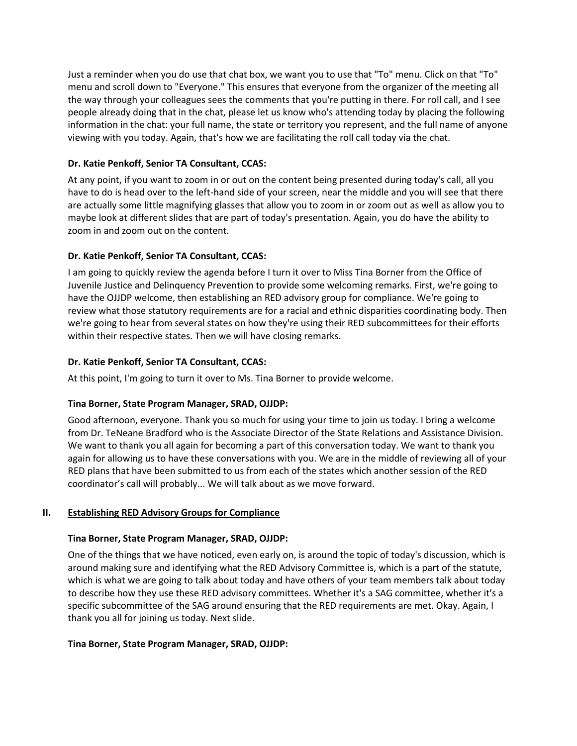Just a reminder when you do use that chat box, we want you to use that "To" menu. Click on that "To" menu and scroll down to "Everyone." This ensures that everyone from the organizer of the meeting all the way through your colleagues sees the comments that you're putting in there. For roll call, and I see people already doing that in the chat, please let us know who's attending today by placing the following information in the chat: your full name, the state or territory you represent, and the full name of anyone viewing with you today. Again, that's how we are facilitating the roll call today via the chat.

## **Dr. Katie Penkoff, Senior TA Consultant, CCAS:**

At any point, if you want to zoom in or out on the content being presented during today's call, all you have to do is head over to the left-hand side of your screen, near the middle and you will see that there are actually some little magnifying glasses that allow you to zoom in or zoom out as well as allow you to maybe look at different slides that are part of today's presentation. Again, you do have the ability to zoom in and zoom out on the content.

### **Dr. Katie Penkoff, Senior TA Consultant, CCAS:**

I am going to quickly review the agenda before I turn it over to Miss Tina Borner from the Office of Juvenile Justice and Delinquency Prevention to provide some welcoming remarks. First, we're going to have the OJJDP welcome, then establishing an RED advisory group for compliance. We're going to review what those statutory requirements are for a racial and ethnic disparities coordinating body. Then we're going to hear from several states on how they're using their RED subcommittees for their efforts within their respective states. Then we will have closing remarks.

### **Dr. Katie Penkoff, Senior TA Consultant, CCAS:**

At this point, I'm going to turn it over to Ms. Tina Borner to provide welcome.

## **Tina Borner, State Program Manager, SRAD, OJJDP:**

Good afternoon, everyone. Thank you so much for using your time to join us today. I bring a welcome from Dr. TeNeane Bradford who is the Associate Director of the State Relations and Assistance Division. We want to thank you all again for becoming a part of this conversation today. We want to thank you again for allowing us to have these conversations with you. We are in the middle of reviewing all of your RED plans that have been submitted to us from each of the states which another session of the RED coordinator's call will probably... We will talk about as we move forward.

### **II. Establishing RED Advisory Groups for Compliance**

### **Tina Borner, State Program Manager, SRAD, OJJDP:**

One of the things that we have noticed, even early on, is around the topic of today's discussion, which is around making sure and identifying what the RED Advisory Committee is, which is a part of the statute, which is what we are going to talk about today and have others of your team members talk about today to describe how they use these RED advisory committees. Whether it's a SAG committee, whether it's a specific subcommittee of the SAG around ensuring that the RED requirements are met. Okay. Again, I thank you all for joining us today. Next slide.

### **Tina Borner, State Program Manager, SRAD, OJJDP:**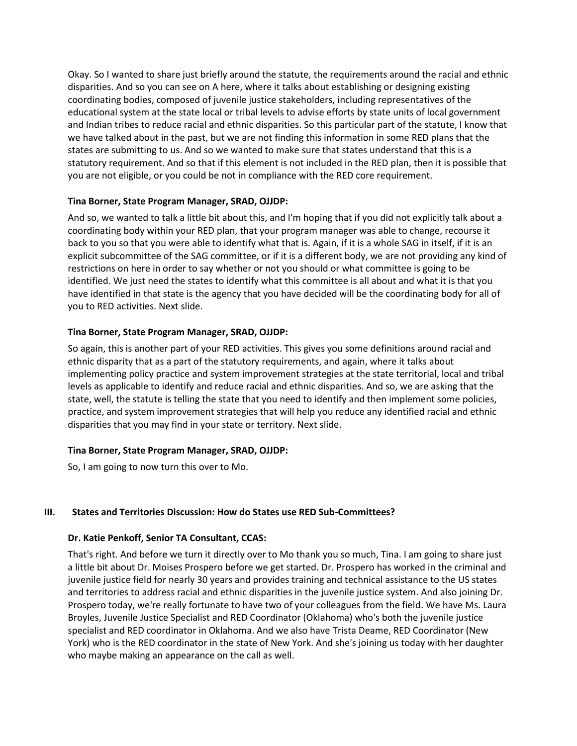Okay. So I wanted to share just briefly around the statute, the requirements around the racial and ethnic disparities. And so you can see on A here, where it talks about establishing or designing existing coordinating bodies, composed of juvenile justice stakeholders, including representatives of the educational system at the state local or tribal levels to advise efforts by state units of local government and Indian tribes to reduce racial and ethnic disparities. So this particular part of the statute, I know that we have talked about in the past, but we are not finding this information in some RED plans that the states are submitting to us. And so we wanted to make sure that states understand that this is a statutory requirement. And so that if this element is not included in the RED plan, then it is possible that you are not eligible, or you could be not in compliance with the RED core requirement.

### **Tina Borner, State Program Manager, SRAD, OJJDP:**

And so, we wanted to talk a little bit about this, and I'm hoping that if you did not explicitly talk about a coordinating body within your RED plan, that your program manager was able to change, recourse it back to you so that you were able to identify what that is. Again, if it is a whole SAG in itself, if it is an explicit subcommittee of the SAG committee, or if it is a different body, we are not providing any kind of restrictions on here in order to say whether or not you should or what committee is going to be identified. We just need the states to identify what this committee is all about and what it is that you have identified in that state is the agency that you have decided will be the coordinating body for all of you to RED activities. Next slide.

### **Tina Borner, State Program Manager, SRAD, OJJDP:**

So again, this is another part of your RED activities. This gives you some definitions around racial and ethnic disparity that as a part of the statutory requirements, and again, where it talks about implementing policy practice and system improvement strategies at the state territorial, local and tribal levels as applicable to identify and reduce racial and ethnic disparities. And so, we are asking that the state, well, the statute is telling the state that you need to identify and then implement some policies, practice, and system improvement strategies that will help you reduce any identified racial and ethnic disparities that you may find in your state or territory. Next slide.

## **Tina Borner, State Program Manager, SRAD, OJJDP:**

So, I am going to now turn this over to Mo.

## **III. States and Territories Discussion: How do States use RED Sub-Committees?**

### **Dr. Katie Penkoff, Senior TA Consultant, CCAS:**

That's right. And before we turn it directly over to Mo thank you so much, Tina. I am going to share just a little bit about Dr. Moises Prospero before we get started. Dr. Prospero has worked in the criminal and juvenile justice field for nearly 30 years and provides training and technical assistance to the US states and territories to address racial and ethnic disparities in the juvenile justice system. And also joining Dr. Prospero today, we're really fortunate to have two of your colleagues from the field. We have Ms. Laura Broyles, Juvenile Justice Specialist and RED Coordinator (Oklahoma) who's both the juvenile justice specialist and RED coordinator in Oklahoma. And we also have Trista Deame, RED Coordinator (New York) who is the RED coordinator in the state of New York. And she's joining us today with her daughter who maybe making an appearance on the call as well.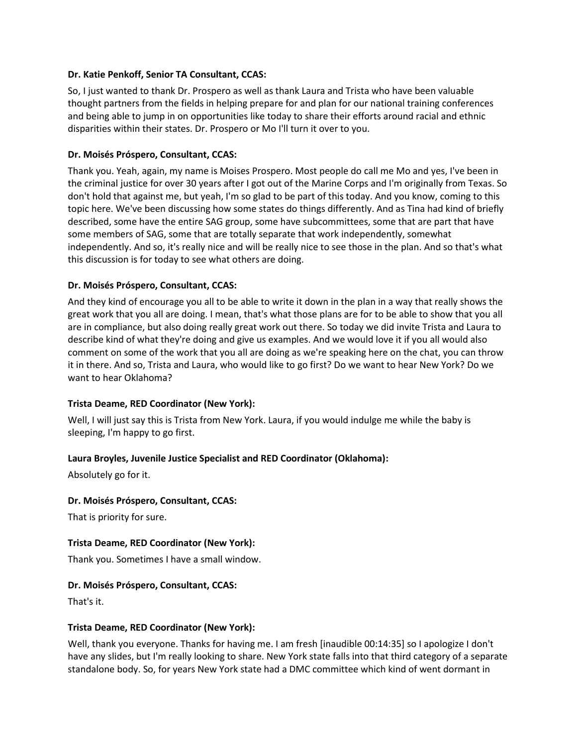#### **Dr. Katie Penkoff, Senior TA Consultant, CCAS:**

So, I just wanted to thank Dr. Prospero as well as thank Laura and Trista who have been valuable thought partners from the fields in helping prepare for and plan for our national training conferences and being able to jump in on opportunities like today to share their efforts around racial and ethnic disparities within their states. Dr. Prospero or Mo I'll turn it over to you.

#### **Dr. Moisés Próspero, Consultant, CCAS:**

Thank you. Yeah, again, my name is Moises Prospero. Most people do call me Mo and yes, I've been in the criminal justice for over 30 years after I got out of the Marine Corps and I'm originally from Texas. So don't hold that against me, but yeah, I'm so glad to be part of this today. And you know, coming to this topic here. We've been discussing how some states do things differently. And as Tina had kind of briefly described, some have the entire SAG group, some have subcommittees, some that are part that have some members of SAG, some that are totally separate that work independently, somewhat independently. And so, it's really nice and will be really nice to see those in the plan. And so that's what this discussion is for today to see what others are doing.

### **Dr. Moisés Próspero, Consultant, CCAS:**

And they kind of encourage you all to be able to write it down in the plan in a way that really shows the great work that you all are doing. I mean, that's what those plans are for to be able to show that you all are in compliance, but also doing really great work out there. So today we did invite Trista and Laura to describe kind of what they're doing and give us examples. And we would love it if you all would also comment on some of the work that you all are doing as we're speaking here on the chat, you can throw it in there. And so, Trista and Laura, who would like to go first? Do we want to hear New York? Do we want to hear Oklahoma?

### **Trista Deame, RED Coordinator (New York):**

Well, I will just say this is Trista from New York. Laura, if you would indulge me while the baby is sleeping, I'm happy to go first.

### **Laura Broyles, Juvenile Justice Specialist and RED Coordinator (Oklahoma):**

Absolutely go for it.

#### **Dr. Moisés Próspero, Consultant, CCAS:**

That is priority for sure.

#### **Trista Deame, RED Coordinator (New York):**

Thank you. Sometimes I have a small window.

#### **Dr. Moisés Próspero, Consultant, CCAS:**

That's it.

#### **Trista Deame, RED Coordinator (New York):**

Well, thank you everyone. Thanks for having me. I am fresh [inaudible 00:14:35] so I apologize I don't have any slides, but I'm really looking to share. New York state falls into that third category of a separate standalone body. So, for years New York state had a DMC committee which kind of went dormant in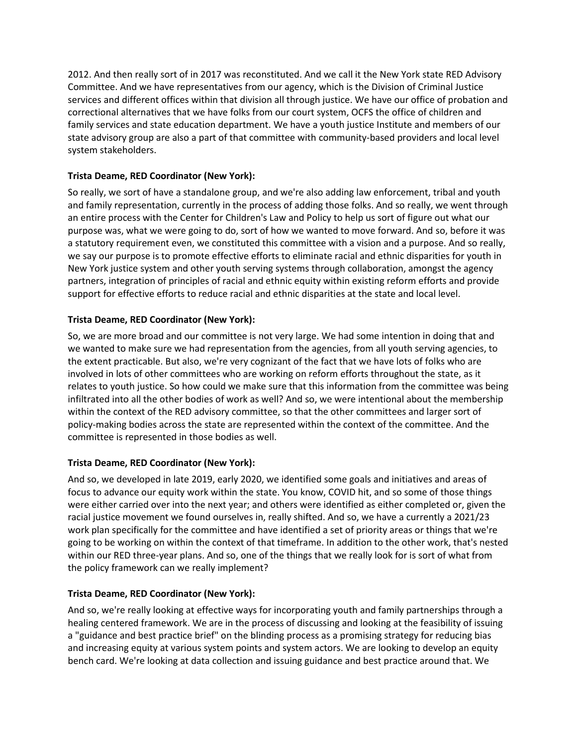2012. And then really sort of in 2017 was reconstituted. And we call it the New York state RED Advisory Committee. And we have representatives from our agency, which is the Division of Criminal Justice services and different offices within that division all through justice. We have our office of probation and correctional alternatives that we have folks from our court system, OCFS the office of children and family services and state education department. We have a youth justice Institute and members of our state advisory group are also a part of that committee with community-based providers and local level system stakeholders.

## **Trista Deame, RED Coordinator (New York):**

So really, we sort of have a standalone group, and we're also adding law enforcement, tribal and youth and family representation, currently in the process of adding those folks. And so really, we went through an entire process with the Center for Children's Law and Policy to help us sort of figure out what our purpose was, what we were going to do, sort of how we wanted to move forward. And so, before it was a statutory requirement even, we constituted this committee with a vision and a purpose. And so really, we say our purpose is to promote effective efforts to eliminate racial and ethnic disparities for youth in New York justice system and other youth serving systems through collaboration, amongst the agency partners, integration of principles of racial and ethnic equity within existing reform efforts and provide support for effective efforts to reduce racial and ethnic disparities at the state and local level.

## **Trista Deame, RED Coordinator (New York):**

So, we are more broad and our committee is not very large. We had some intention in doing that and we wanted to make sure we had representation from the agencies, from all youth serving agencies, to the extent practicable. But also, we're very cognizant of the fact that we have lots of folks who are involved in lots of other committees who are working on reform efforts throughout the state, as it relates to youth justice. So how could we make sure that this information from the committee was being infiltrated into all the other bodies of work as well? And so, we were intentional about the membership within the context of the RED advisory committee, so that the other committees and larger sort of policy-making bodies across the state are represented within the context of the committee. And the committee is represented in those bodies as well.

## **Trista Deame, RED Coordinator (New York):**

And so, we developed in late 2019, early 2020, we identified some goals and initiatives and areas of focus to advance our equity work within the state. You know, COVID hit, and so some of those things were either carried over into the next year; and others were identified as either completed or, given the racial justice movement we found ourselves in, really shifted. And so, we have a currently a 2021/23 work plan specifically for the committee and have identified a set of priority areas or things that we're going to be working on within the context of that timeframe. In addition to the other work, that's nested within our RED three-year plans. And so, one of the things that we really look for is sort of what from the policy framework can we really implement?

## **Trista Deame, RED Coordinator (New York):**

And so, we're really looking at effective ways for incorporating youth and family partnerships through a healing centered framework. We are in the process of discussing and looking at the feasibility of issuing a "guidance and best practice brief" on the blinding process as a promising strategy for reducing bias and increasing equity at various system points and system actors. We are looking to develop an equity bench card. We're looking at data collection and issuing guidance and best practice around that. We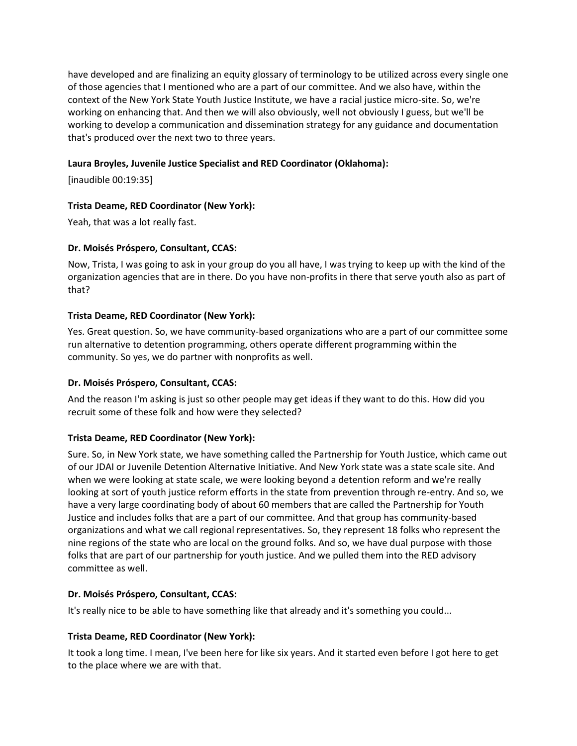have developed and are finalizing an equity glossary of terminology to be utilized across every single one of those agencies that I mentioned who are a part of our committee. And we also have, within the context of the New York State Youth Justice Institute, we have a racial justice micro-site. So, we're working on enhancing that. And then we will also obviously, well not obviously I guess, but we'll be working to develop a communication and dissemination strategy for any guidance and documentation that's produced over the next two to three years.

### **Laura Broyles, Juvenile Justice Specialist and RED Coordinator (Oklahoma):**

[inaudible 00:19:35]

### **Trista Deame, RED Coordinator (New York):**

Yeah, that was a lot really fast.

### **Dr. Moisés Próspero, Consultant, CCAS:**

Now, Trista, I was going to ask in your group do you all have, I was trying to keep up with the kind of the organization agencies that are in there. Do you have non-profits in there that serve youth also as part of that?

### **Trista Deame, RED Coordinator (New York):**

Yes. Great question. So, we have community-based organizations who are a part of our committee some run alternative to detention programming, others operate different programming within the community. So yes, we do partner with nonprofits as well.

## **Dr. Moisés Próspero, Consultant, CCAS:**

And the reason I'm asking is just so other people may get ideas if they want to do this. How did you recruit some of these folk and how were they selected?

## **Trista Deame, RED Coordinator (New York):**

Sure. So, in New York state, we have something called the Partnership for Youth Justice, which came out of our JDAI or Juvenile Detention Alternative Initiative. And New York state was a state scale site. And when we were looking at state scale, we were looking beyond a detention reform and we're really looking at sort of youth justice reform efforts in the state from prevention through re-entry. And so, we have a very large coordinating body of about 60 members that are called the Partnership for Youth Justice and includes folks that are a part of our committee. And that group has community-based organizations and what we call regional representatives. So, they represent 18 folks who represent the nine regions of the state who are local on the ground folks. And so, we have dual purpose with those folks that are part of our partnership for youth justice. And we pulled them into the RED advisory committee as well.

### **Dr. Moisés Próspero, Consultant, CCAS:**

It's really nice to be able to have something like that already and it's something you could...

### **Trista Deame, RED Coordinator (New York):**

It took a long time. I mean, I've been here for like six years. And it started even before I got here to get to the place where we are with that.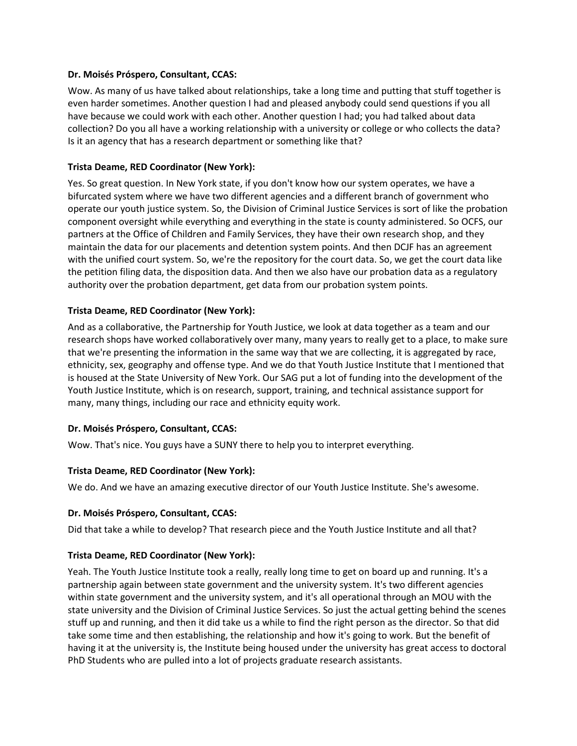#### **Dr. Moisés Próspero, Consultant, CCAS:**

Wow. As many of us have talked about relationships, take a long time and putting that stuff together is even harder sometimes. Another question I had and pleased anybody could send questions if you all have because we could work with each other. Another question I had; you had talked about data collection? Do you all have a working relationship with a university or college or who collects the data? Is it an agency that has a research department or something like that?

### **Trista Deame, RED Coordinator (New York):**

Yes. So great question. In New York state, if you don't know how our system operates, we have a bifurcated system where we have two different agencies and a different branch of government who operate our youth justice system. So, the Division of Criminal Justice Services is sort of like the probation component oversight while everything and everything in the state is county administered. So OCFS, our partners at the Office of Children and Family Services, they have their own research shop, and they maintain the data for our placements and detention system points. And then DCJF has an agreement with the unified court system. So, we're the repository for the court data. So, we get the court data like the petition filing data, the disposition data. And then we also have our probation data as a regulatory authority over the probation department, get data from our probation system points.

#### **Trista Deame, RED Coordinator (New York):**

And as a collaborative, the Partnership for Youth Justice, we look at data together as a team and our research shops have worked collaboratively over many, many years to really get to a place, to make sure that we're presenting the information in the same way that we are collecting, it is aggregated by race, ethnicity, sex, geography and offense type. And we do that Youth Justice Institute that I mentioned that is housed at the State University of New York. Our SAG put a lot of funding into the development of the Youth Justice Institute, which is on research, support, training, and technical assistance support for many, many things, including our race and ethnicity equity work.

#### **Dr. Moisés Próspero, Consultant, CCAS:**

Wow. That's nice. You guys have a SUNY there to help you to interpret everything.

### **Trista Deame, RED Coordinator (New York):**

We do. And we have an amazing executive director of our Youth Justice Institute. She's awesome.

#### **Dr. Moisés Próspero, Consultant, CCAS:**

Did that take a while to develop? That research piece and the Youth Justice Institute and all that?

### **Trista Deame, RED Coordinator (New York):**

Yeah. The Youth Justice Institute took a really, really long time to get on board up and running. It's a partnership again between state government and the university system. It's two different agencies within state government and the university system, and it's all operational through an MOU with the state university and the Division of Criminal Justice Services. So just the actual getting behind the scenes stuff up and running, and then it did take us a while to find the right person as the director. So that did take some time and then establishing, the relationship and how it's going to work. But the benefit of having it at the university is, the Institute being housed under the university has great access to doctoral PhD Students who are pulled into a lot of projects graduate research assistants.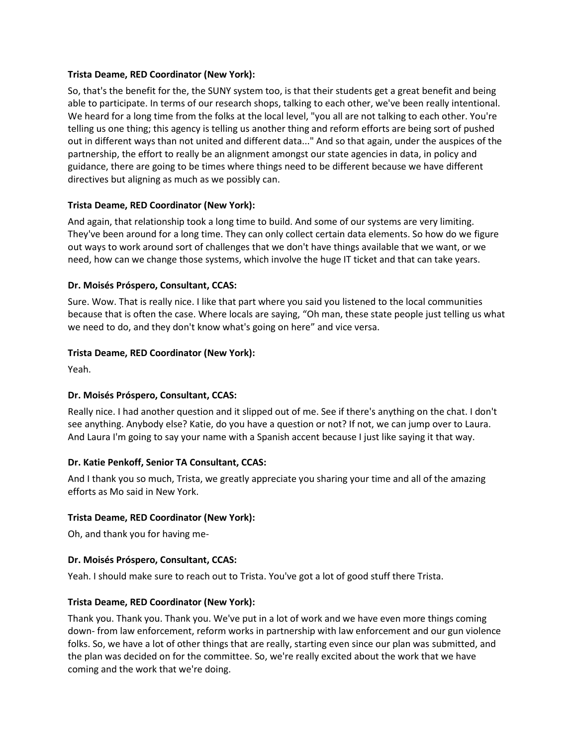#### **Trista Deame, RED Coordinator (New York):**

So, that's the benefit for the, the SUNY system too, is that their students get a great benefit and being able to participate. In terms of our research shops, talking to each other, we've been really intentional. We heard for a long time from the folks at the local level, "you all are not talking to each other. You're telling us one thing; this agency is telling us another thing and reform efforts are being sort of pushed out in different ways than not united and different data..." And so that again, under the auspices of the partnership, the effort to really be an alignment amongst our state agencies in data, in policy and guidance, there are going to be times where things need to be different because we have different directives but aligning as much as we possibly can.

### **Trista Deame, RED Coordinator (New York):**

And again, that relationship took a long time to build. And some of our systems are very limiting. They've been around for a long time. They can only collect certain data elements. So how do we figure out ways to work around sort of challenges that we don't have things available that we want, or we need, how can we change those systems, which involve the huge IT ticket and that can take years.

### **Dr. Moisés Próspero, Consultant, CCAS:**

Sure. Wow. That is really nice. I like that part where you said you listened to the local communities because that is often the case. Where locals are saying, "Oh man, these state people just telling us what we need to do, and they don't know what's going on here" and vice versa.

### **Trista Deame, RED Coordinator (New York):**

Yeah.

## **Dr. Moisés Próspero, Consultant, CCAS:**

Really nice. I had another question and it slipped out of me. See if there's anything on the chat. I don't see anything. Anybody else? Katie, do you have a question or not? If not, we can jump over to Laura. And Laura I'm going to say your name with a Spanish accent because I just like saying it that way.

### **Dr. Katie Penkoff, Senior TA Consultant, CCAS:**

And I thank you so much, Trista, we greatly appreciate you sharing your time and all of the amazing efforts as Mo said in New York.

### **Trista Deame, RED Coordinator (New York):**

Oh, and thank you for having me-

### **Dr. Moisés Próspero, Consultant, CCAS:**

Yeah. I should make sure to reach out to Trista. You've got a lot of good stuff there Trista.

### **Trista Deame, RED Coordinator (New York):**

Thank you. Thank you. Thank you. We've put in a lot of work and we have even more things coming down- from law enforcement, reform works in partnership with law enforcement and our gun violence folks. So, we have a lot of other things that are really, starting even since our plan was submitted, and the plan was decided on for the committee. So, we're really excited about the work that we have coming and the work that we're doing.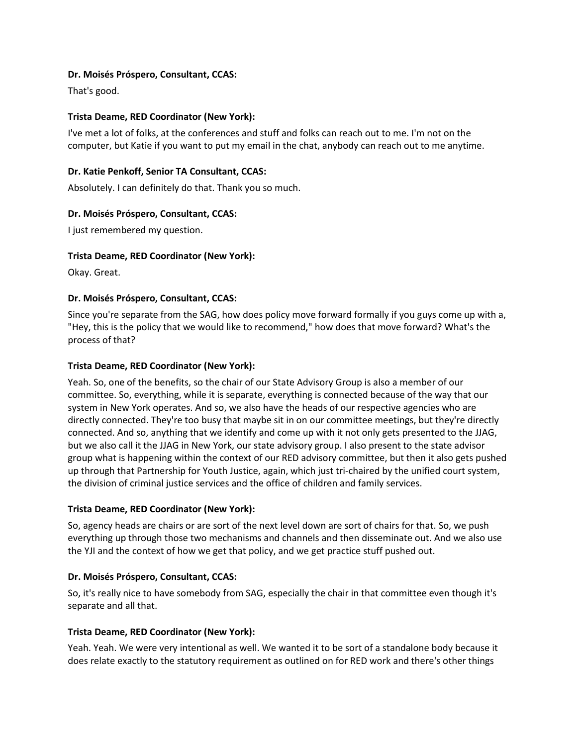### **Dr. Moisés Próspero, Consultant, CCAS:**

That's good.

### **Trista Deame, RED Coordinator (New York):**

I've met a lot of folks, at the conferences and stuff and folks can reach out to me. I'm not on the computer, but Katie if you want to put my email in the chat, anybody can reach out to me anytime.

### **Dr. Katie Penkoff, Senior TA Consultant, CCAS:**

Absolutely. I can definitely do that. Thank you so much.

### **Dr. Moisés Próspero, Consultant, CCAS:**

I just remembered my question.

### **Trista Deame, RED Coordinator (New York):**

Okay. Great.

### **Dr. Moisés Próspero, Consultant, CCAS:**

Since you're separate from the SAG, how does policy move forward formally if you guys come up with a, "Hey, this is the policy that we would like to recommend," how does that move forward? What's the process of that?

### **Trista Deame, RED Coordinator (New York):**

Yeah. So, one of the benefits, so the chair of our State Advisory Group is also a member of our committee. So, everything, while it is separate, everything is connected because of the way that our system in New York operates. And so, we also have the heads of our respective agencies who are directly connected. They're too busy that maybe sit in on our committee meetings, but they're directly connected. And so, anything that we identify and come up with it not only gets presented to the JJAG, but we also call it the JJAG in New York, our state advisory group. I also present to the state advisor group what is happening within the context of our RED advisory committee, but then it also gets pushed up through that Partnership for Youth Justice, again, which just tri-chaired by the unified court system, the division of criminal justice services and the office of children and family services.

### **Trista Deame, RED Coordinator (New York):**

So, agency heads are chairs or are sort of the next level down are sort of chairs for that. So, we push everything up through those two mechanisms and channels and then disseminate out. And we also use the YJI and the context of how we get that policy, and we get practice stuff pushed out.

### **Dr. Moisés Próspero, Consultant, CCAS:**

So, it's really nice to have somebody from SAG, especially the chair in that committee even though it's separate and all that.

### **Trista Deame, RED Coordinator (New York):**

Yeah. Yeah. We were very intentional as well. We wanted it to be sort of a standalone body because it does relate exactly to the statutory requirement as outlined on for RED work and there's other things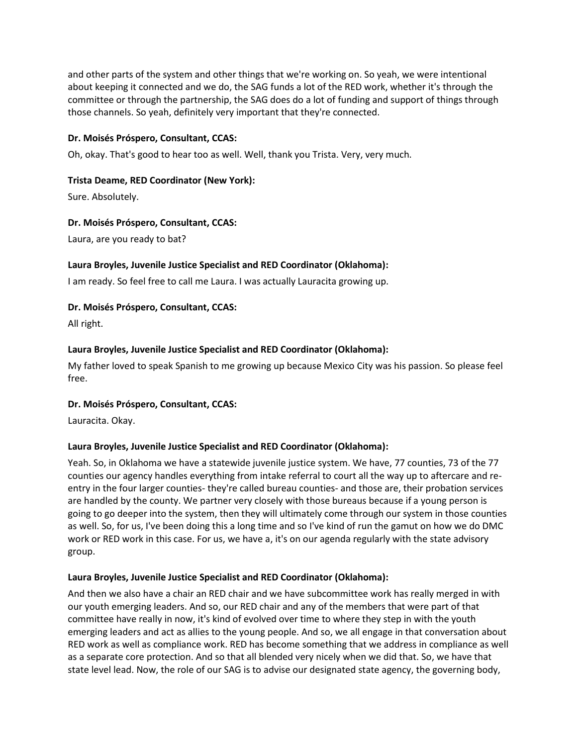and other parts of the system and other things that we're working on. So yeah, we were intentional about keeping it connected and we do, the SAG funds a lot of the RED work, whether it's through the committee or through the partnership, the SAG does do a lot of funding and support of things through those channels. So yeah, definitely very important that they're connected.

### **Dr. Moisés Próspero, Consultant, CCAS:**

Oh, okay. That's good to hear too as well. Well, thank you Trista. Very, very much.

### **Trista Deame, RED Coordinator (New York):**

Sure. Absolutely.

### **Dr. Moisés Próspero, Consultant, CCAS:**

Laura, are you ready to bat?

### **Laura Broyles, Juvenile Justice Specialist and RED Coordinator (Oklahoma):**

I am ready. So feel free to call me Laura. I was actually Lauracita growing up.

### **Dr. Moisés Próspero, Consultant, CCAS:**

All right.

### **Laura Broyles, Juvenile Justice Specialist and RED Coordinator (Oklahoma):**

My father loved to speak Spanish to me growing up because Mexico City was his passion. So please feel free.

### **Dr. Moisés Próspero, Consultant, CCAS:**

Lauracita. Okay.

### **Laura Broyles, Juvenile Justice Specialist and RED Coordinator (Oklahoma):**

Yeah. So, in Oklahoma we have a statewide juvenile justice system. We have, 77 counties, 73 of the 77 counties our agency handles everything from intake referral to court all the way up to aftercare and reentry in the four larger counties- they're called bureau counties- and those are, their probation services are handled by the county. We partner very closely with those bureaus because if a young person is going to go deeper into the system, then they will ultimately come through our system in those counties as well. So, for us, I've been doing this a long time and so I've kind of run the gamut on how we do DMC work or RED work in this case. For us, we have a, it's on our agenda regularly with the state advisory group.

### **Laura Broyles, Juvenile Justice Specialist and RED Coordinator (Oklahoma):**

And then we also have a chair an RED chair and we have subcommittee work has really merged in with our youth emerging leaders. And so, our RED chair and any of the members that were part of that committee have really in now, it's kind of evolved over time to where they step in with the youth emerging leaders and act as allies to the young people. And so, we all engage in that conversation about RED work as well as compliance work. RED has become something that we address in compliance as well as a separate core protection. And so that all blended very nicely when we did that. So, we have that state level lead. Now, the role of our SAG is to advise our designated state agency, the governing body,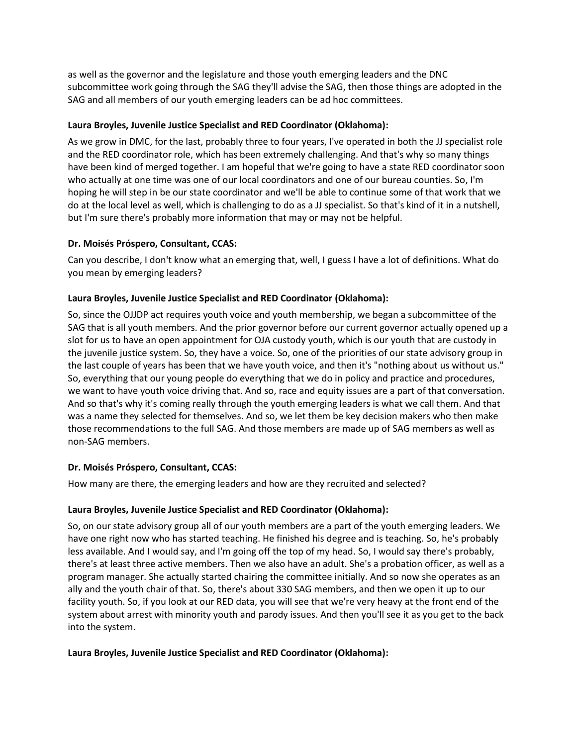as well as the governor and the legislature and those youth emerging leaders and the DNC subcommittee work going through the SAG they'll advise the SAG, then those things are adopted in the SAG and all members of our youth emerging leaders can be ad hoc committees.

### **Laura Broyles, Juvenile Justice Specialist and RED Coordinator (Oklahoma):**

As we grow in DMC, for the last, probably three to four years, I've operated in both the JJ specialist role and the RED coordinator role, which has been extremely challenging. And that's why so many things have been kind of merged together. I am hopeful that we're going to have a state RED coordinator soon who actually at one time was one of our local coordinators and one of our bureau counties. So, I'm hoping he will step in be our state coordinator and we'll be able to continue some of that work that we do at the local level as well, which is challenging to do as a JJ specialist. So that's kind of it in a nutshell, but I'm sure there's probably more information that may or may not be helpful.

## **Dr. Moisés Próspero, Consultant, CCAS:**

Can you describe, I don't know what an emerging that, well, I guess I have a lot of definitions. What do you mean by emerging leaders?

### **Laura Broyles, Juvenile Justice Specialist and RED Coordinator (Oklahoma):**

So, since the OJJDP act requires youth voice and youth membership, we began a subcommittee of the SAG that is all youth members. And the prior governor before our current governor actually opened up a slot for us to have an open appointment for OJA custody youth, which is our youth that are custody in the juvenile justice system. So, they have a voice. So, one of the priorities of our state advisory group in the last couple of years has been that we have youth voice, and then it's "nothing about us without us." So, everything that our young people do everything that we do in policy and practice and procedures, we want to have youth voice driving that. And so, race and equity issues are a part of that conversation. And so that's why it's coming really through the youth emerging leaders is what we call them. And that was a name they selected for themselves. And so, we let them be key decision makers who then make those recommendations to the full SAG. And those members are made up of SAG members as well as non-SAG members.

### **Dr. Moisés Próspero, Consultant, CCAS:**

How many are there, the emerging leaders and how are they recruited and selected?

### **Laura Broyles, Juvenile Justice Specialist and RED Coordinator (Oklahoma):**

So, on our state advisory group all of our youth members are a part of the youth emerging leaders. We have one right now who has started teaching. He finished his degree and is teaching. So, he's probably less available. And I would say, and I'm going off the top of my head. So, I would say there's probably, there's at least three active members. Then we also have an adult. She's a probation officer, as well as a program manager. She actually started chairing the committee initially. And so now she operates as an ally and the youth chair of that. So, there's about 330 SAG members, and then we open it up to our facility youth. So, if you look at our RED data, you will see that we're very heavy at the front end of the system about arrest with minority youth and parody issues. And then you'll see it as you get to the back into the system.

### **Laura Broyles, Juvenile Justice Specialist and RED Coordinator (Oklahoma):**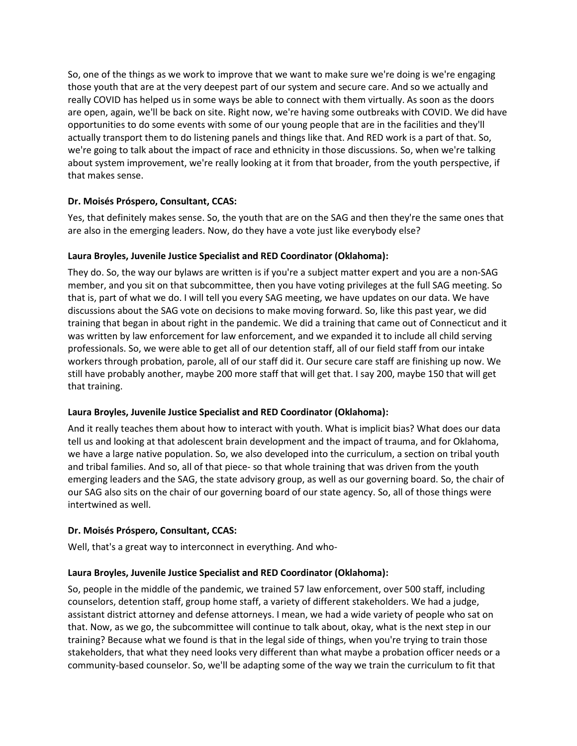So, one of the things as we work to improve that we want to make sure we're doing is we're engaging those youth that are at the very deepest part of our system and secure care. And so we actually and really COVID has helped us in some ways be able to connect with them virtually. As soon as the doors are open, again, we'll be back on site. Right now, we're having some outbreaks with COVID. We did have opportunities to do some events with some of our young people that are in the facilities and they'll actually transport them to do listening panels and things like that. And RED work is a part of that. So, we're going to talk about the impact of race and ethnicity in those discussions. So, when we're talking about system improvement, we're really looking at it from that broader, from the youth perspective, if that makes sense.

### **Dr. Moisés Próspero, Consultant, CCAS:**

Yes, that definitely makes sense. So, the youth that are on the SAG and then they're the same ones that are also in the emerging leaders. Now, do they have a vote just like everybody else?

### **Laura Broyles, Juvenile Justice Specialist and RED Coordinator (Oklahoma):**

They do. So, the way our bylaws are written is if you're a subject matter expert and you are a non-SAG member, and you sit on that subcommittee, then you have voting privileges at the full SAG meeting. So that is, part of what we do. I will tell you every SAG meeting, we have updates on our data. We have discussions about the SAG vote on decisions to make moving forward. So, like this past year, we did training that began in about right in the pandemic. We did a training that came out of Connecticut and it was written by law enforcement for law enforcement, and we expanded it to include all child serving professionals. So, we were able to get all of our detention staff, all of our field staff from our intake workers through probation, parole, all of our staff did it. Our secure care staff are finishing up now. We still have probably another, maybe 200 more staff that will get that. I say 200, maybe 150 that will get that training.

## **Laura Broyles, Juvenile Justice Specialist and RED Coordinator (Oklahoma):**

And it really teaches them about how to interact with youth. What is implicit bias? What does our data tell us and looking at that adolescent brain development and the impact of trauma, and for Oklahoma, we have a large native population. So, we also developed into the curriculum, a section on tribal youth and tribal families. And so, all of that piece- so that whole training that was driven from the youth emerging leaders and the SAG, the state advisory group, as well as our governing board. So, the chair of our SAG also sits on the chair of our governing board of our state agency. So, all of those things were intertwined as well.

## **Dr. Moisés Próspero, Consultant, CCAS:**

Well, that's a great way to interconnect in everything. And who-

## **Laura Broyles, Juvenile Justice Specialist and RED Coordinator (Oklahoma):**

So, people in the middle of the pandemic, we trained 57 law enforcement, over 500 staff, including counselors, detention staff, group home staff, a variety of different stakeholders. We had a judge, assistant district attorney and defense attorneys. I mean, we had a wide variety of people who sat on that. Now, as we go, the subcommittee will continue to talk about, okay, what is the next step in our training? Because what we found is that in the legal side of things, when you're trying to train those stakeholders, that what they need looks very different than what maybe a probation officer needs or a community-based counselor. So, we'll be adapting some of the way we train the curriculum to fit that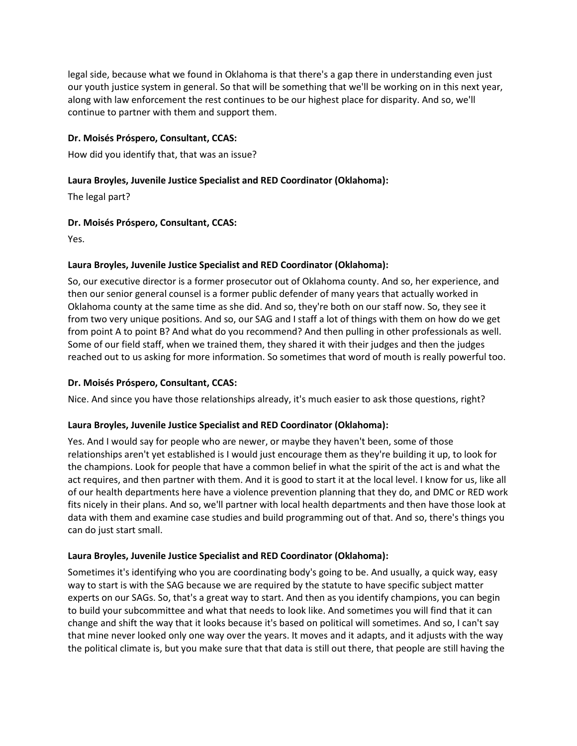legal side, because what we found in Oklahoma is that there's a gap there in understanding even just our youth justice system in general. So that will be something that we'll be working on in this next year, along with law enforcement the rest continues to be our highest place for disparity. And so, we'll continue to partner with them and support them.

## **Dr. Moisés Próspero, Consultant, CCAS:**

How did you identify that, that was an issue?

### **Laura Broyles, Juvenile Justice Specialist and RED Coordinator (Oklahoma):**

The legal part?

### **Dr. Moisés Próspero, Consultant, CCAS:**

Yes.

### **Laura Broyles, Juvenile Justice Specialist and RED Coordinator (Oklahoma):**

So, our executive director is a former prosecutor out of Oklahoma county. And so, her experience, and then our senior general counsel is a former public defender of many years that actually worked in Oklahoma county at the same time as she did. And so, they're both on our staff now. So, they see it from two very unique positions. And so, our SAG and I staff a lot of things with them on how do we get from point A to point B? And what do you recommend? And then pulling in other professionals as well. Some of our field staff, when we trained them, they shared it with their judges and then the judges reached out to us asking for more information. So sometimes that word of mouth is really powerful too.

### **Dr. Moisés Próspero, Consultant, CCAS:**

Nice. And since you have those relationships already, it's much easier to ask those questions, right?

### **Laura Broyles, Juvenile Justice Specialist and RED Coordinator (Oklahoma):**

Yes. And I would say for people who are newer, or maybe they haven't been, some of those relationships aren't yet established is I would just encourage them as they're building it up, to look for the champions. Look for people that have a common belief in what the spirit of the act is and what the act requires, and then partner with them. And it is good to start it at the local level. I know for us, like all of our health departments here have a violence prevention planning that they do, and DMC or RED work fits nicely in their plans. And so, we'll partner with local health departments and then have those look at data with them and examine case studies and build programming out of that. And so, there's things you can do just start small.

### **Laura Broyles, Juvenile Justice Specialist and RED Coordinator (Oklahoma):**

Sometimes it's identifying who you are coordinating body's going to be. And usually, a quick way, easy way to start is with the SAG because we are required by the statute to have specific subject matter experts on our SAGs. So, that's a great way to start. And then as you identify champions, you can begin to build your subcommittee and what that needs to look like. And sometimes you will find that it can change and shift the way that it looks because it's based on political will sometimes. And so, I can't say that mine never looked only one way over the years. It moves and it adapts, and it adjusts with the way the political climate is, but you make sure that that data is still out there, that people are still having the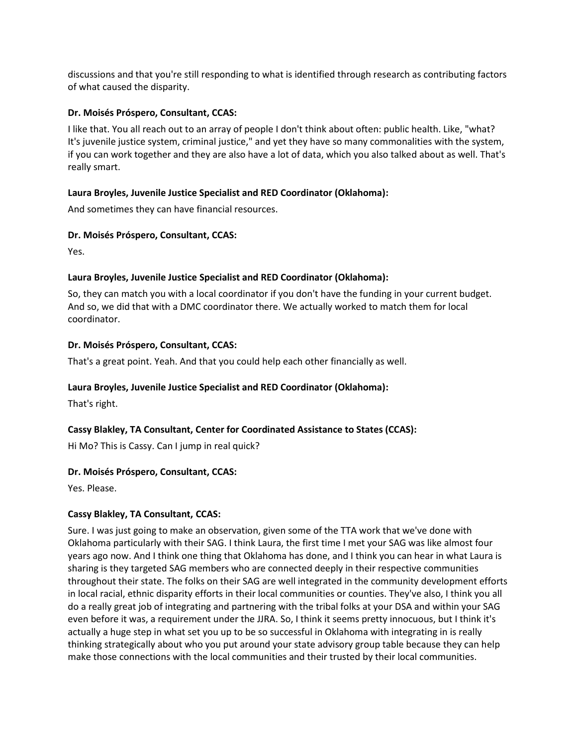discussions and that you're still responding to what is identified through research as contributing factors of what caused the disparity.

### **Dr. Moisés Próspero, Consultant, CCAS:**

I like that. You all reach out to an array of people I don't think about often: public health. Like, "what? It's juvenile justice system, criminal justice," and yet they have so many commonalities with the system, if you can work together and they are also have a lot of data, which you also talked about as well. That's really smart.

### **Laura Broyles, Juvenile Justice Specialist and RED Coordinator (Oklahoma):**

And sometimes they can have financial resources.

### **Dr. Moisés Próspero, Consultant, CCAS:**

Yes.

### **Laura Broyles, Juvenile Justice Specialist and RED Coordinator (Oklahoma):**

So, they can match you with a local coordinator if you don't have the funding in your current budget. And so, we did that with a DMC coordinator there. We actually worked to match them for local coordinator.

### **Dr. Moisés Próspero, Consultant, CCAS:**

That's a great point. Yeah. And that you could help each other financially as well.

### **Laura Broyles, Juvenile Justice Specialist and RED Coordinator (Oklahoma):**

That's right.

## **Cassy Blakley, TA Consultant, Center for Coordinated Assistance to States (CCAS):**

Hi Mo? This is Cassy. Can I jump in real quick?

### **Dr. Moisés Próspero, Consultant, CCAS:**

Yes. Please.

## **Cassy Blakley, TA Consultant, CCAS:**

Sure. I was just going to make an observation, given some of the TTA work that we've done with Oklahoma particularly with their SAG. I think Laura, the first time I met your SAG was like almost four years ago now. And I think one thing that Oklahoma has done, and I think you can hear in what Laura is sharing is they targeted SAG members who are connected deeply in their respective communities throughout their state. The folks on their SAG are well integrated in the community development efforts in local racial, ethnic disparity efforts in their local communities or counties. They've also, I think you all do a really great job of integrating and partnering with the tribal folks at your DSA and within your SAG even before it was, a requirement under the JJRA. So, I think it seems pretty innocuous, but I think it's actually a huge step in what set you up to be so successful in Oklahoma with integrating in is really thinking strategically about who you put around your state advisory group table because they can help make those connections with the local communities and their trusted by their local communities.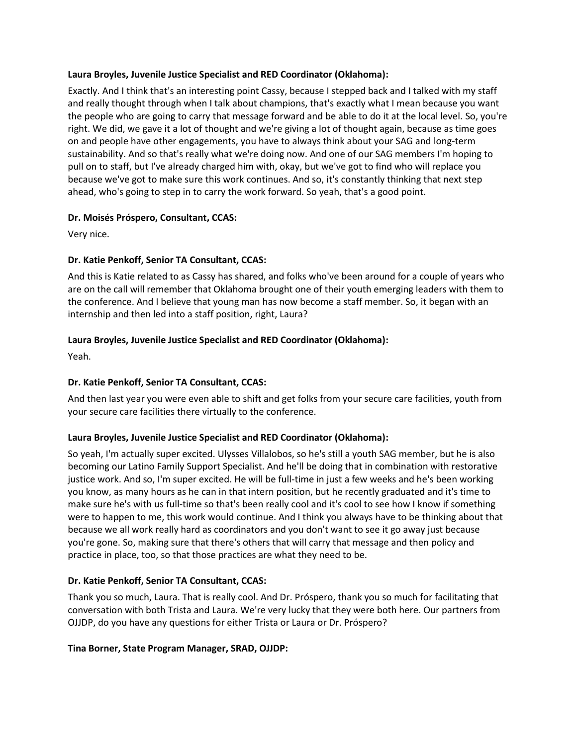### **Laura Broyles, Juvenile Justice Specialist and RED Coordinator (Oklahoma):**

Exactly. And I think that's an interesting point Cassy, because I stepped back and I talked with my staff and really thought through when I talk about champions, that's exactly what I mean because you want the people who are going to carry that message forward and be able to do it at the local level. So, you're right. We did, we gave it a lot of thought and we're giving a lot of thought again, because as time goes on and people have other engagements, you have to always think about your SAG and long-term sustainability. And so that's really what we're doing now. And one of our SAG members I'm hoping to pull on to staff, but I've already charged him with, okay, but we've got to find who will replace you because we've got to make sure this work continues. And so, it's constantly thinking that next step ahead, who's going to step in to carry the work forward. So yeah, that's a good point.

## **Dr. Moisés Próspero, Consultant, CCAS:**

Very nice.

### **Dr. Katie Penkoff, Senior TA Consultant, CCAS:**

And this is Katie related to as Cassy has shared, and folks who've been around for a couple of years who are on the call will remember that Oklahoma brought one of their youth emerging leaders with them to the conference. And I believe that young man has now become a staff member. So, it began with an internship and then led into a staff position, right, Laura?

## **Laura Broyles, Juvenile Justice Specialist and RED Coordinator (Oklahoma):**

Yeah.

## **Dr. Katie Penkoff, Senior TA Consultant, CCAS:**

And then last year you were even able to shift and get folks from your secure care facilities, youth from your secure care facilities there virtually to the conference.

### **Laura Broyles, Juvenile Justice Specialist and RED Coordinator (Oklahoma):**

So yeah, I'm actually super excited. Ulysses Villalobos, so he's still a youth SAG member, but he is also becoming our Latino Family Support Specialist. And he'll be doing that in combination with restorative justice work. And so, I'm super excited. He will be full-time in just a few weeks and he's been working you know, as many hours as he can in that intern position, but he recently graduated and it's time to make sure he's with us full-time so that's been really cool and it's cool to see how I know if something were to happen to me, this work would continue. And I think you always have to be thinking about that because we all work really hard as coordinators and you don't want to see it go away just because you're gone. So, making sure that there's others that will carry that message and then policy and practice in place, too, so that those practices are what they need to be.

## **Dr. Katie Penkoff, Senior TA Consultant, CCAS:**

Thank you so much, Laura. That is really cool. And Dr. Próspero, thank you so much for facilitating that conversation with both Trista and Laura. We're very lucky that they were both here. Our partners from OJJDP, do you have any questions for either Trista or Laura or Dr. Próspero?

### **Tina Borner, State Program Manager, SRAD, OJJDP:**